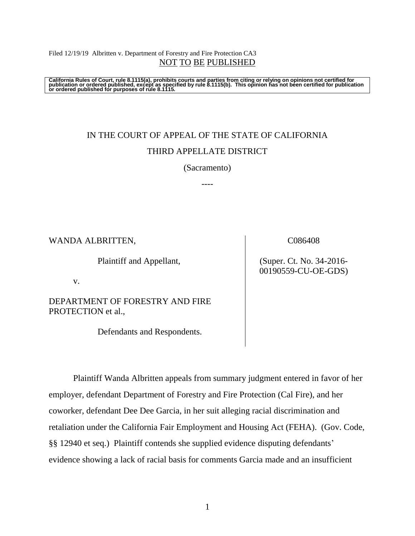Filed 12/19/19 Albritten v. Department of Forestry and Fire Protection CA3 NOT TO BE PUBLISHED

California Rules of Court, rule 8.1115(a), prohibits courts and parties from citing or relying on opinions not certified for<br>publication or ordered published, except as specified by rule 8.1115(b). This opinion has not be

# IN THE COURT OF APPEAL OF THE STATE OF CALIFORNIA THIRD APPELLATE DISTRICT

(Sacramento)

----

WANDA ALBRITTEN,

Plaintiff and Appellant,

v.

DEPARTMENT OF FORESTRY AND FIRE PROTECTION et al.,

Defendants and Respondents.

C086408

(Super. Ct. No. 34-2016- 00190559-CU-OE-GDS)

Plaintiff Wanda Albritten appeals from summary judgment entered in favor of her employer, defendant Department of Forestry and Fire Protection (Cal Fire), and her coworker, defendant Dee Dee Garcia, in her suit alleging racial discrimination and retaliation under the California Fair Employment and Housing Act (FEHA). (Gov. Code, §§ 12940 et seq.) Plaintiff contends she supplied evidence disputing defendants' evidence showing a lack of racial basis for comments Garcia made and an insufficient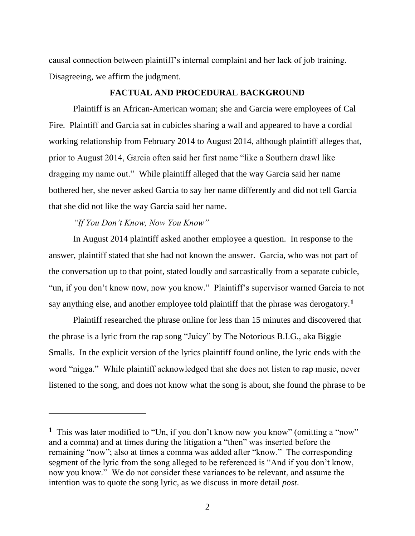causal connection between plaintiff's internal complaint and her lack of job training. Disagreeing, we affirm the judgment.

#### **FACTUAL AND PROCEDURAL BACKGROUND**

Plaintiff is an African-American woman; she and Garcia were employees of Cal Fire. Plaintiff and Garcia sat in cubicles sharing a wall and appeared to have a cordial working relationship from February 2014 to August 2014, although plaintiff alleges that, prior to August 2014, Garcia often said her first name "like a Southern drawl like dragging my name out." While plaintiff alleged that the way Garcia said her name bothered her, she never asked Garcia to say her name differently and did not tell Garcia that she did not like the way Garcia said her name.

#### *"If You Don't Know, Now You Know"*

 $\overline{a}$ 

In August 2014 plaintiff asked another employee a question. In response to the answer, plaintiff stated that she had not known the answer. Garcia, who was not part of the conversation up to that point, stated loudly and sarcastically from a separate cubicle, "un, if you don't know now, now you know." Plaintiff's supervisor warned Garcia to not say anything else, and another employee told plaintiff that the phrase was derogatory.**<sup>1</sup>**

Plaintiff researched the phrase online for less than 15 minutes and discovered that the phrase is a lyric from the rap song "Juicy" by The Notorious B.I.G., aka Biggie Smalls. In the explicit version of the lyrics plaintiff found online, the lyric ends with the word "nigga." While plaintiff acknowledged that she does not listen to rap music, never listened to the song, and does not know what the song is about, she found the phrase to be

<sup>&</sup>lt;sup>1</sup> This was later modified to "Un, if you don't know now you know" (omitting a "now" and a comma) and at times during the litigation a "then" was inserted before the remaining "now"; also at times a comma was added after "know." The corresponding segment of the lyric from the song alleged to be referenced is "And if you don't know, now you know." We do not consider these variances to be relevant, and assume the intention was to quote the song lyric, as we discuss in more detail *post*.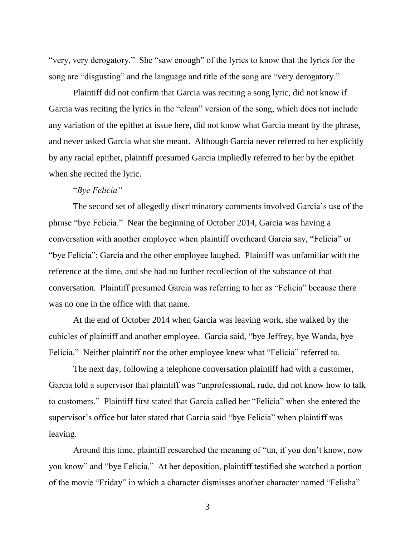"very, very derogatory." She "saw enough" of the lyrics to know that the lyrics for the song are "disgusting" and the language and title of the song are "very derogatory."

Plaintiff did not confirm that Garcia was reciting a song lyric, did not know if Garcia was reciting the lyrics in the "clean" version of the song, which does not include any variation of the epithet at issue here, did not know what Garcia meant by the phrase, and never asked Garcia what she meant. Although Garcia never referred to her explicitly by any racial epithet, plaintiff presumed Garcia impliedly referred to her by the epithet when she recited the lyric.

## "*Bye Felicia"*

The second set of allegedly discriminatory comments involved Garcia's use of the phrase "bye Felicia." Near the beginning of October 2014, Garcia was having a conversation with another employee when plaintiff overheard Garcia say, "Felicia" or "bye Felicia"; Garcia and the other employee laughed. Plaintiff was unfamiliar with the reference at the time, and she had no further recollection of the substance of that conversation. Plaintiff presumed Garcia was referring to her as "Felicia" because there was no one in the office with that name.

At the end of October 2014 when Garcia was leaving work, she walked by the cubicles of plaintiff and another employee. Garcia said, "bye Jeffrey, bye Wanda, bye Felicia." Neither plaintiff nor the other employee knew what "Felicia" referred to.

The next day, following a telephone conversation plaintiff had with a customer, Garcia told a supervisor that plaintiff was "unprofessional, rude, did not know how to talk to customers." Plaintiff first stated that Garcia called her "Felicia" when she entered the supervisor's office but later stated that Garcia said "bye Felicia" when plaintiff was leaving.

Around this time, plaintiff researched the meaning of "un, if you don't know, now you know" and "bye Felicia." At her deposition, plaintiff testified she watched a portion of the movie "Friday" in which a character dismisses another character named "Felisha"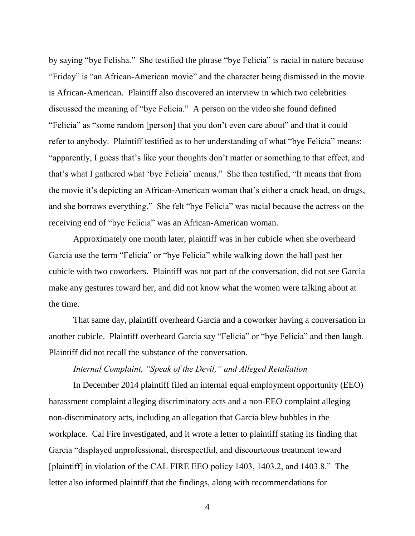by saying "bye Felisha." She testified the phrase "bye Felicia" is racial in nature because "Friday" is "an African-American movie" and the character being dismissed in the movie is African-American. Plaintiff also discovered an interview in which two celebrities discussed the meaning of "bye Felicia." A person on the video she found defined "Felicia" as "some random [person] that you don't even care about" and that it could refer to anybody. Plaintiff testified as to her understanding of what "bye Felicia" means: "apparently, I guess that's like your thoughts don't matter or something to that effect, and that's what I gathered what 'bye Felicia' means." She then testified, "It means that from the movie it's depicting an African-American woman that's either a crack head, on drugs, and she borrows everything." She felt "bye Felicia" was racial because the actress on the receiving end of "bye Felicia" was an African-American woman.

Approximately one month later, plaintiff was in her cubicle when she overheard Garcia use the term "Felicia" or "bye Felicia" while walking down the hall past her cubicle with two coworkers. Plaintiff was not part of the conversation, did not see Garcia make any gestures toward her, and did not know what the women were talking about at the time.

That same day, plaintiff overheard Garcia and a coworker having a conversation in another cubicle. Plaintiff overheard Garcia say "Felicia" or "bye Felicia" and then laugh. Plaintiff did not recall the substance of the conversation.

## *Internal Complaint, "Speak of the Devil," and Alleged Retaliation*

In December 2014 plaintiff filed an internal equal employment opportunity (EEO) harassment complaint alleging discriminatory acts and a non-EEO complaint alleging non-discriminatory acts, including an allegation that Garcia blew bubbles in the workplace. Cal Fire investigated, and it wrote a letter to plaintiff stating its finding that Garcia "displayed unprofessional, disrespectful, and discourteous treatment toward [plaintiff] in violation of the CAL FIRE EEO policy 1403, 1403.2, and 1403.8." The letter also informed plaintiff that the findings, along with recommendations for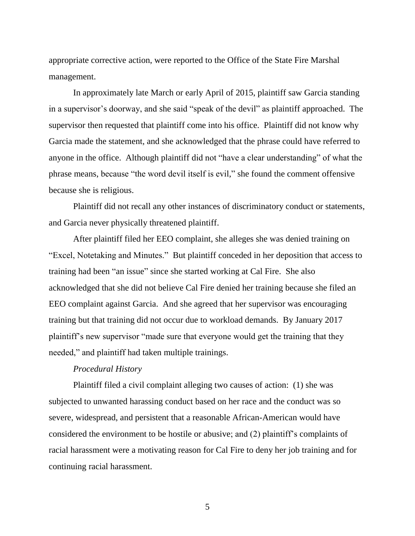appropriate corrective action, were reported to the Office of the State Fire Marshal management.

In approximately late March or early April of 2015, plaintiff saw Garcia standing in a supervisor's doorway, and she said "speak of the devil" as plaintiff approached. The supervisor then requested that plaintiff come into his office. Plaintiff did not know why Garcia made the statement, and she acknowledged that the phrase could have referred to anyone in the office. Although plaintiff did not "have a clear understanding" of what the phrase means, because "the word devil itself is evil," she found the comment offensive because she is religious.

Plaintiff did not recall any other instances of discriminatory conduct or statements, and Garcia never physically threatened plaintiff.

After plaintiff filed her EEO complaint, she alleges she was denied training on "Excel, Notetaking and Minutes." But plaintiff conceded in her deposition that access to training had been "an issue" since she started working at Cal Fire. She also acknowledged that she did not believe Cal Fire denied her training because she filed an EEO complaint against Garcia. And she agreed that her supervisor was encouraging training but that training did not occur due to workload demands. By January 2017 plaintiff's new supervisor "made sure that everyone would get the training that they needed," and plaintiff had taken multiple trainings.

#### *Procedural History*

Plaintiff filed a civil complaint alleging two causes of action: (1) she was subjected to unwanted harassing conduct based on her race and the conduct was so severe, widespread, and persistent that a reasonable African-American would have considered the environment to be hostile or abusive; and (2) plaintiff's complaints of racial harassment were a motivating reason for Cal Fire to deny her job training and for continuing racial harassment.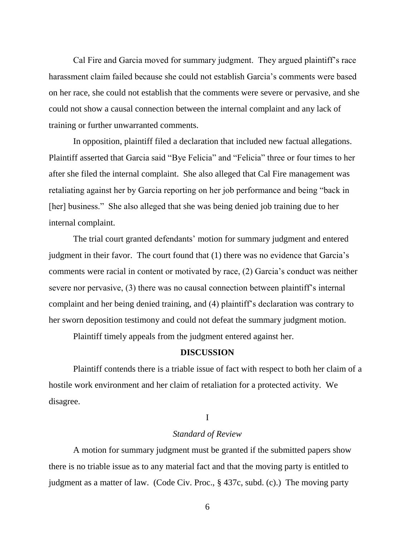Cal Fire and Garcia moved for summary judgment. They argued plaintiff's race harassment claim failed because she could not establish Garcia's comments were based on her race, she could not establish that the comments were severe or pervasive, and she could not show a causal connection between the internal complaint and any lack of training or further unwarranted comments.

In opposition, plaintiff filed a declaration that included new factual allegations. Plaintiff asserted that Garcia said "Bye Felicia" and "Felicia" three or four times to her after she filed the internal complaint. She also alleged that Cal Fire management was retaliating against her by Garcia reporting on her job performance and being "back in [her] business." She also alleged that she was being denied job training due to her internal complaint.

The trial court granted defendants' motion for summary judgment and entered judgment in their favor. The court found that (1) there was no evidence that Garcia's comments were racial in content or motivated by race, (2) Garcia's conduct was neither severe nor pervasive, (3) there was no causal connection between plaintiff's internal complaint and her being denied training, and (4) plaintiff's declaration was contrary to her sworn deposition testimony and could not defeat the summary judgment motion.

Plaintiff timely appeals from the judgment entered against her.

### **DISCUSSION**

Plaintiff contends there is a triable issue of fact with respect to both her claim of a hostile work environment and her claim of retaliation for a protected activity. We disagree.

#### I

## *Standard of Review*

A motion for summary judgment must be granted if the submitted papers show there is no triable issue as to any material fact and that the moving party is entitled to judgment as a matter of law. (Code Civ. Proc., § 437c, subd. (c).) The moving party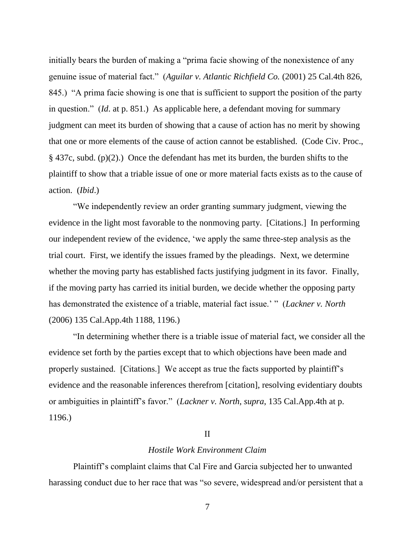initially bears the burden of making a "prima facie showing of the nonexistence of any genuine issue of material fact." (*Aguilar v. Atlantic Richfield Co.* (2001) 25 Cal.4th 826, 845.) "A prima facie showing is one that is sufficient to support the position of the party in question." (*Id*. at p. 851.) As applicable here, a defendant moving for summary judgment can meet its burden of showing that a cause of action has no merit by showing that one or more elements of the cause of action cannot be established. (Code Civ. Proc., § 437c, subd. (p)(2).) Once the defendant has met its burden, the burden shifts to the plaintiff to show that a triable issue of one or more material facts exists as to the cause of action. (*Ibid*.)

"We independently review an order granting summary judgment, viewing the evidence in the light most favorable to the nonmoving party. [Citations.] In performing our independent review of the evidence, 'we apply the same three-step analysis as the trial court. First, we identify the issues framed by the pleadings. Next, we determine whether the moving party has established facts justifying judgment in its favor. Finally, if the moving party has carried its initial burden, we decide whether the opposing party has demonstrated the existence of a triable, material fact issue.' " (*Lackner v. North* (2006) 135 Cal.App.4th 1188, 1196.)

"In determining whether there is a triable issue of material fact, we consider all the evidence set forth by the parties except that to which objections have been made and properly sustained. [Citations.] We accept as true the facts supported by plaintiff's evidence and the reasonable inferences therefrom [citation], resolving evidentiary doubts or ambiguities in plaintiff's favor." (*Lackner v. North*, *supra*, 135 Cal.App.4th at p. 1196.)

#### II

#### *Hostile Work Environment Claim*

Plaintiff's complaint claims that Cal Fire and Garcia subjected her to unwanted harassing conduct due to her race that was "so severe, widespread and/or persistent that a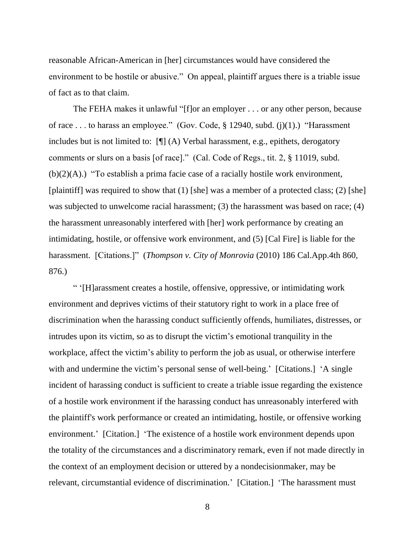reasonable African-American in [her] circumstances would have considered the environment to be hostile or abusive." On appeal, plaintiff argues there is a triable issue of fact as to that claim.

The FEHA makes it unlawful "[f]or an employer . . . or any other person, because of race . . . to harass an employee." (Gov. Code, § 12940, subd. (j)(1).) "Harassment includes but is not limited to: [¶] (A) Verbal harassment, e.g., epithets, derogatory comments or slurs on a basis [of race]." (Cal. Code of Regs., tit. 2, § 11019, subd. (b)(2)(A).) "To establish a prima facie case of a racially hostile work environment, [plaintiff] was required to show that  $(1)$  [she] was a member of a protected class;  $(2)$  [she] was subjected to unwelcome racial harassment; (3) the harassment was based on race; (4) the harassment unreasonably interfered with [her] work performance by creating an intimidating, hostile, or offensive work environment, and (5) [Cal Fire] is liable for the harassment. [Citations.]" (*Thompson v. City of Monrovia* (2010) 186 Cal.App.4th 860, 876.)

" '[H]arassment creates a hostile, offensive, oppressive, or intimidating work environment and deprives victims of their statutory right to work in a place free of discrimination when the harassing conduct sufficiently offends, humiliates, distresses, or intrudes upon its victim, so as to disrupt the victim's emotional tranquility in the workplace, affect the victim's ability to perform the job as usual, or otherwise interfere with and undermine the victim's personal sense of well-being.' [Citations.] 'A single incident of harassing conduct is sufficient to create a triable issue regarding the existence of a hostile work environment if the harassing conduct has unreasonably interfered with the plaintiff's work performance or created an intimidating, hostile, or offensive working environment.' [Citation.] 'The existence of a hostile work environment depends upon the totality of the circumstances and a discriminatory remark, even if not made directly in the context of an employment decision or uttered by a nondecisionmaker, may be relevant, circumstantial evidence of discrimination.' [Citation.] 'The harassment must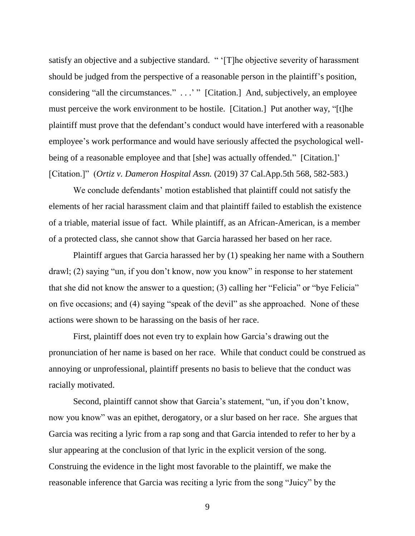satisfy an objective and a subjective standard. " '[T]he objective severity of harassment should be judged from the perspective of a reasonable person in the plaintiff's position, considering "all the circumstances." . . .' " [Citation.] And, subjectively, an employee must perceive the work environment to be hostile. [Citation.] Put another way, "[t]he plaintiff must prove that the defendant's conduct would have interfered with a reasonable employee's work performance and would have seriously affected the psychological wellbeing of a reasonable employee and that [she] was actually offended." [Citation.]' [Citation.]" (*Ortiz v. Dameron Hospital Assn.* (2019) 37 Cal.App.5th 568, 582-583.)

We conclude defendants' motion established that plaintiff could not satisfy the elements of her racial harassment claim and that plaintiff failed to establish the existence of a triable, material issue of fact. While plaintiff, as an African-American, is a member of a protected class, she cannot show that Garcia harassed her based on her race.

Plaintiff argues that Garcia harassed her by (1) speaking her name with a Southern drawl; (2) saying "un, if you don't know, now you know" in response to her statement that she did not know the answer to a question; (3) calling her "Felicia" or "bye Felicia" on five occasions; and (4) saying "speak of the devil" as she approached. None of these actions were shown to be harassing on the basis of her race.

First, plaintiff does not even try to explain how Garcia's drawing out the pronunciation of her name is based on her race. While that conduct could be construed as annoying or unprofessional, plaintiff presents no basis to believe that the conduct was racially motivated.

Second, plaintiff cannot show that Garcia's statement, "un, if you don't know, now you know" was an epithet, derogatory, or a slur based on her race. She argues that Garcia was reciting a lyric from a rap song and that Garcia intended to refer to her by a slur appearing at the conclusion of that lyric in the explicit version of the song. Construing the evidence in the light most favorable to the plaintiff, we make the reasonable inference that Garcia was reciting a lyric from the song "Juicy" by the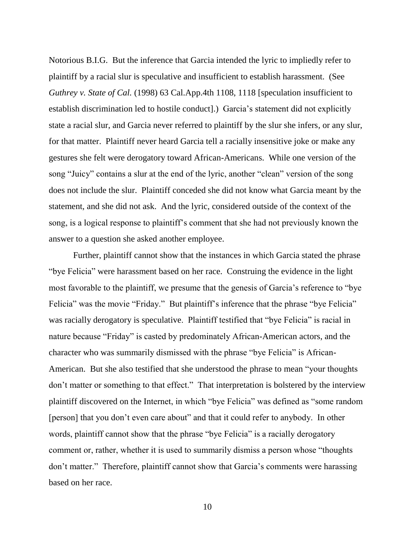Notorious B.I.G. But the inference that Garcia intended the lyric to impliedly refer to plaintiff by a racial slur is speculative and insufficient to establish harassment. (See *Guthrey v. State of Cal.* (1998) 63 Cal.App.4th 1108, 1118 [speculation insufficient to establish discrimination led to hostile conduct].) Garcia's statement did not explicitly state a racial slur, and Garcia never referred to plaintiff by the slur she infers, or any slur, for that matter. Plaintiff never heard Garcia tell a racially insensitive joke or make any gestures she felt were derogatory toward African-Americans. While one version of the song "Juicy" contains a slur at the end of the lyric, another "clean" version of the song does not include the slur. Plaintiff conceded she did not know what Garcia meant by the statement, and she did not ask. And the lyric, considered outside of the context of the song, is a logical response to plaintiff's comment that she had not previously known the answer to a question she asked another employee.

Further, plaintiff cannot show that the instances in which Garcia stated the phrase "bye Felicia" were harassment based on her race. Construing the evidence in the light most favorable to the plaintiff, we presume that the genesis of Garcia's reference to "bye Felicia" was the movie "Friday." But plaintiff's inference that the phrase "bye Felicia" was racially derogatory is speculative. Plaintiff testified that "bye Felicia" is racial in nature because "Friday" is casted by predominately African-American actors, and the character who was summarily dismissed with the phrase "bye Felicia" is African-American. But she also testified that she understood the phrase to mean "your thoughts don't matter or something to that effect." That interpretation is bolstered by the interview plaintiff discovered on the Internet, in which "bye Felicia" was defined as "some random [person] that you don't even care about" and that it could refer to anybody. In other words, plaintiff cannot show that the phrase "bye Felicia" is a racially derogatory comment or, rather, whether it is used to summarily dismiss a person whose "thoughts don't matter." Therefore, plaintiff cannot show that Garcia's comments were harassing based on her race.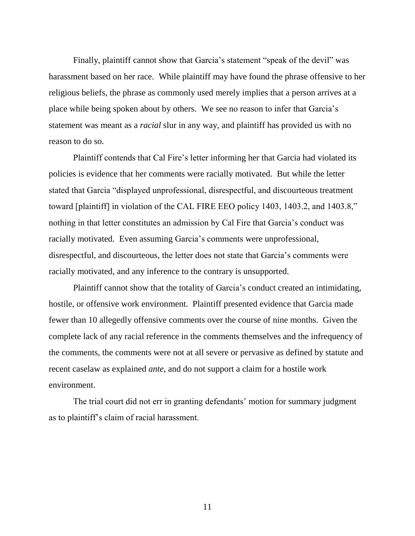Finally, plaintiff cannot show that Garcia's statement "speak of the devil" was harassment based on her race. While plaintiff may have found the phrase offensive to her religious beliefs, the phrase as commonly used merely implies that a person arrives at a place while being spoken about by others. We see no reason to infer that Garcia's statement was meant as a *racial* slur in any way, and plaintiff has provided us with no reason to do so.

Plaintiff contends that Cal Fire's letter informing her that Garcia had violated its policies is evidence that her comments were racially motivated. But while the letter stated that Garcia "displayed unprofessional, disrespectful, and discourteous treatment toward [plaintiff] in violation of the CAL FIRE EEO policy 1403, 1403.2, and 1403.8," nothing in that letter constitutes an admission by Cal Fire that Garcia's conduct was racially motivated. Even assuming Garcia's comments were unprofessional, disrespectful, and discourteous, the letter does not state that Garcia's comments were racially motivated, and any inference to the contrary is unsupported.

Plaintiff cannot show that the totality of Garcia's conduct created an intimidating, hostile, or offensive work environment. Plaintiff presented evidence that Garcia made fewer than 10 allegedly offensive comments over the course of nine months. Given the complete lack of any racial reference in the comments themselves and the infrequency of the comments, the comments were not at all severe or pervasive as defined by statute and recent caselaw as explained *ante*, and do not support a claim for a hostile work environment.

The trial court did not err in granting defendants' motion for summary judgment as to plaintiff's claim of racial harassment.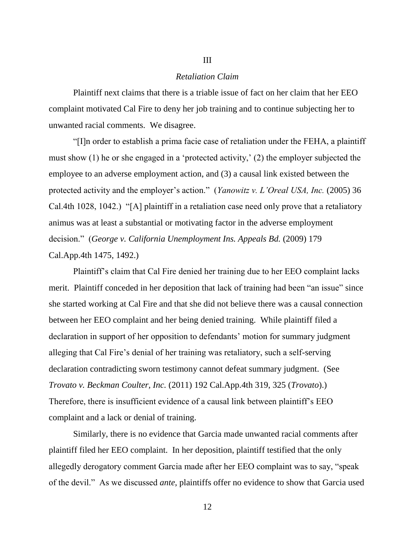#### *Retaliation Claim*

III

Plaintiff next claims that there is a triable issue of fact on her claim that her EEO complaint motivated Cal Fire to deny her job training and to continue subjecting her to unwanted racial comments. We disagree.

"[I]n order to establish a prima facie case of retaliation under the FEHA, a plaintiff must show (1) he or she engaged in a 'protected activity,' (2) the employer subjected the employee to an adverse employment action, and (3) a causal link existed between the protected activity and the employer's action." (*Yanowitz v. L'Oreal USA, Inc.* (2005) 36 Cal.4th 1028, 1042.) "[A] plaintiff in a retaliation case need only prove that a retaliatory animus was at least a substantial or motivating factor in the adverse employment decision." (*George v. California Unemployment Ins. Appeals Bd.* (2009) 179 Cal.App.4th 1475, 1492.)

Plaintiff's claim that Cal Fire denied her training due to her EEO complaint lacks merit. Plaintiff conceded in her deposition that lack of training had been "an issue" since she started working at Cal Fire and that she did not believe there was a causal connection between her EEO complaint and her being denied training. While plaintiff filed a declaration in support of her opposition to defendants' motion for summary judgment alleging that Cal Fire's denial of her training was retaliatory, such a self-serving declaration contradicting sworn testimony cannot defeat summary judgment. (See *Trovato v. Beckman Coulter, Inc.* (2011) 192 Cal.App.4th 319, 325 (*Trovato*).) Therefore, there is insufficient evidence of a causal link between plaintiff's EEO complaint and a lack or denial of training.

Similarly, there is no evidence that Garcia made unwanted racial comments after plaintiff filed her EEO complaint. In her deposition, plaintiff testified that the only allegedly derogatory comment Garcia made after her EEO complaint was to say, "speak of the devil." As we discussed *ante*, plaintiffs offer no evidence to show that Garcia used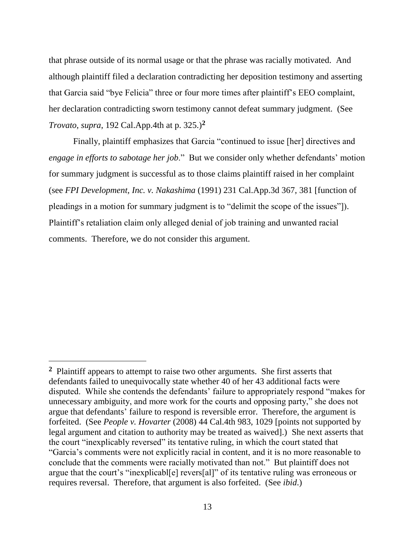that phrase outside of its normal usage or that the phrase was racially motivated. And although plaintiff filed a declaration contradicting her deposition testimony and asserting that Garcia said "bye Felicia" three or four more times after plaintiff's EEO complaint, her declaration contradicting sworn testimony cannot defeat summary judgment. (See *Trovato*, *supra*, 192 Cal.App.4th at p. 325.)**<sup>2</sup>**

Finally, plaintiff emphasizes that Garcia "continued to issue [her] directives and *engage in efforts to sabotage her job*." But we consider only whether defendants' motion for summary judgment is successful as to those claims plaintiff raised in her complaint (see *FPI Development, Inc. v. Nakashima* (1991) 231 Cal.App.3d 367, 381 [function of pleadings in a motion for summary judgment is to "delimit the scope of the issues"]). Plaintiff's retaliation claim only alleged denial of job training and unwanted racial comments. Therefore, we do not consider this argument.

 $\overline{a}$ 

**<sup>2</sup>** Plaintiff appears to attempt to raise two other arguments. She first asserts that defendants failed to unequivocally state whether 40 of her 43 additional facts were disputed. While she contends the defendants' failure to appropriately respond "makes for unnecessary ambiguity, and more work for the courts and opposing party," she does not argue that defendants' failure to respond is reversible error. Therefore, the argument is forfeited. (See *People v. Hovarter* (2008) 44 Cal.4th 983, 1029 [points not supported by legal argument and citation to authority may be treated as waived].) She next asserts that the court "inexplicably reversed" its tentative ruling, in which the court stated that "Garcia's comments were not explicitly racial in content, and it is no more reasonable to conclude that the comments were racially motivated than not." But plaintiff does not argue that the court's "inexplicabl[e] revers[al]" of its tentative ruling was erroneous or requires reversal. Therefore, that argument is also forfeited. (See *ibid*.)